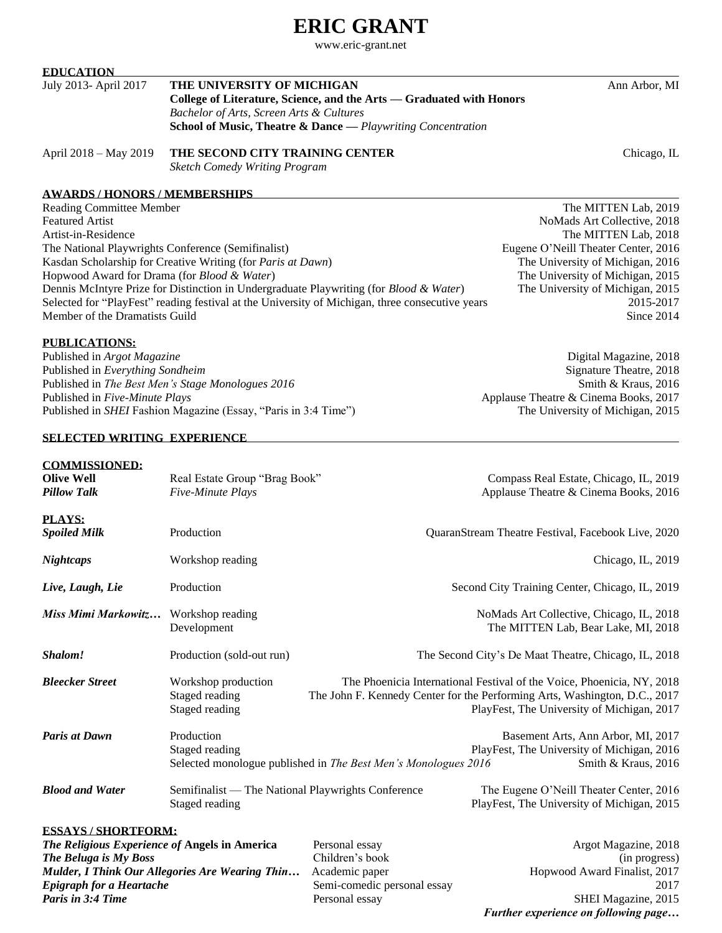# **ERIC GRANT**

www.eric-grant.net

## **EDUCATION**

| July 2013- April 2017 | THE UNIVERSITY OF MICHIGAN                                              | Ann Arbor, MI |
|-----------------------|-------------------------------------------------------------------------|---------------|
|                       | College of Literature, Science, and the Arts — Graduated with Honors    |               |
|                       | Bachelor of Arts, Screen Arts & Cultures                                |               |
|                       | <b>School of Music, Theatre &amp; Dance</b> — Playwriting Concentration |               |
|                       |                                                                         |               |

April 2018 – May 2019 **THE SECOND CITY TRAINING CENTER** Chicago, IL

*Sketch Comedy Writing Program*

# **AWARDS / HONORS / MEMBERSHIPS**

Reading Committee Member The MITTEN Lab, 2019 Featured Artist NoMads Art Collective, 2018 Artist-in-Residence The MITTEN Lab, 2018 The National Playwrights Conference (Semifinalist) Eugene O'Neill Theater Center, 2016 Kasdan Scholarship for Creative Writing (for *Paris at Dawn*) The University of Michigan, 2016 Hopwood Award for Drama (for *Blood & Water*) The University of Michigan, 2015 Dennis McIntyre Prize for Distinction in Undergraduate Playwriting (for *Blood & Water*) The University of Michigan, 2015 Selected for "PlayFest" reading festival at the University of Michigan, three consecutive years 2015-2017 Member of the Dramatists Guild Since 2014

#### **PUBLICATIONS:**

Published in *Argot Magazine* Digital Magazine, 2018 Published in *Everything Sondheim* Signature Theatre, 2018 Published in *The Best Men's Stage Monologues 2016* Smith & Kraus, 2016 Published in *Five-Minute Plays* Applause Theatre & Cinema Books, 2017 Published in *SHEI* Fashion Magazine (Essay, "Paris in 3:4 Time") The University of Michigan, 2015

## **SELECTED WRITING EXPERIENCE**

**COMMISSIONED:**

*Further experience on following page…*

| <b>Olive Well</b><br><b>Pillow Talk</b>                                                                                                 | Real Estate Group "Brag Book"<br>Five-Minute Plays                   | Compass Real Estate, Chicago, IL, 2019<br>Applause Theatre & Cinema Books, 2016                                                                                                                    |                                                                                                         |
|-----------------------------------------------------------------------------------------------------------------------------------------|----------------------------------------------------------------------|----------------------------------------------------------------------------------------------------------------------------------------------------------------------------------------------------|---------------------------------------------------------------------------------------------------------|
| <b>PLAYS:</b><br><b>Spoiled Milk</b>                                                                                                    | Production                                                           |                                                                                                                                                                                                    | QuaranStream Theatre Festival, Facebook Live, 2020                                                      |
| <b>Nightcaps</b>                                                                                                                        | Workshop reading                                                     | Chicago, IL, 2019                                                                                                                                                                                  |                                                                                                         |
| Live, Laugh, Lie                                                                                                                        | Production                                                           | Second City Training Center, Chicago, IL, 2019                                                                                                                                                     |                                                                                                         |
| Miss Mimi Markowitz                                                                                                                     | Workshop reading<br>Development                                      |                                                                                                                                                                                                    | NoMads Art Collective, Chicago, IL, 2018<br>The MITTEN Lab, Bear Lake, MI, 2018                         |
| Shalom!                                                                                                                                 | Production (sold-out run)                                            |                                                                                                                                                                                                    | The Second City's De Maat Theatre, Chicago, IL, 2018                                                    |
| <b>Bleecker Street</b>                                                                                                                  | Workshop production<br>Staged reading<br>Staged reading              | The Phoenicia International Festival of the Voice, Phoenicia, NY, 2018<br>The John F. Kennedy Center for the Performing Arts, Washington, D.C., 2017<br>PlayFest, The University of Michigan, 2017 |                                                                                                         |
| <b>Paris at Dawn</b>                                                                                                                    | Production<br>Staged reading                                         | Selected monologue published in The Best Men's Monologues 2016                                                                                                                                     | Basement Arts, Ann Arbor, MI, 2017<br>PlayFest, The University of Michigan, 2016<br>Smith & Kraus, 2016 |
| <b>Blood and Water</b>                                                                                                                  | Semifinalist — The National Playwrights Conference<br>Staged reading |                                                                                                                                                                                                    | The Eugene O'Neill Theater Center, 2016<br>PlayFest, The University of Michigan, 2015                   |
| <b>ESSAYS / SHORTFORM:</b><br>The Religious Experience of Angels in America<br>The Beluga is My Boss<br><b>Epigraph for a Heartache</b> | Mulder, I Think Our Allegories Are Wearing Thin                      | Personal essay<br>Children's book<br>Academic paper<br>Semi-comedic personal essay                                                                                                                 | Argot Magazine, 2018<br>(in progress)<br>Hopwood Award Finalist, 2017<br>2017                           |

**Paris in 3:4 Time Personal essay Personal essay Personal essay SHEI Magazine, 2015**